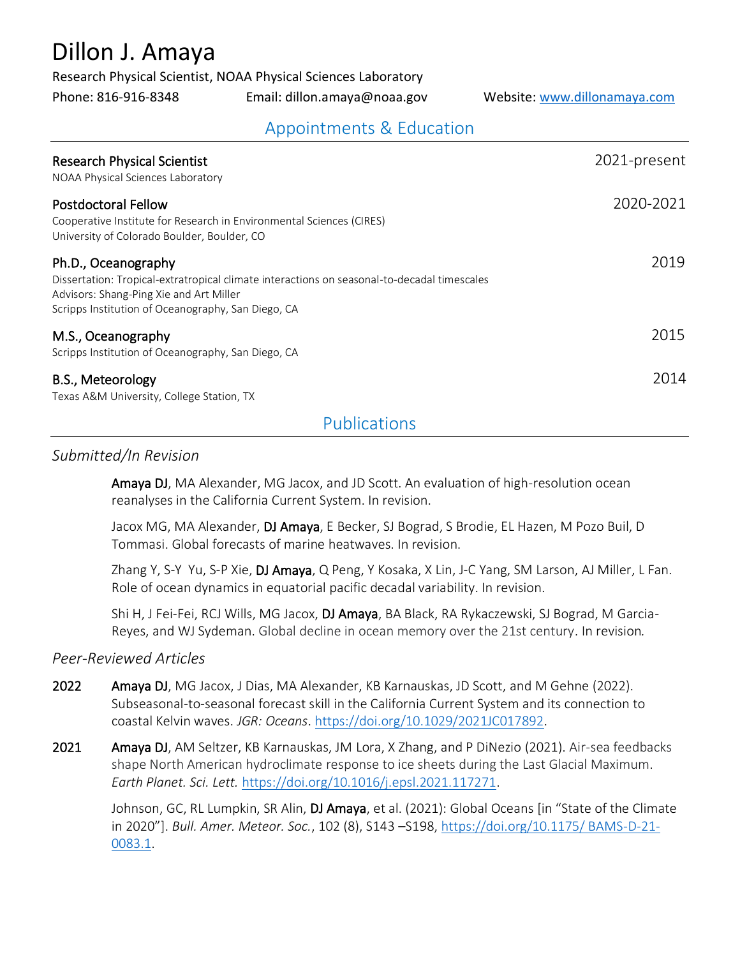# Dillon J. Amaya

Research Physical Scientist, NOAA Physical Sciences Laboratory

Phone: 816-916-8348 Email: dillon.amaya@noaa.gov Website: [www.dillonamaya.com](http://www.dillonamaya.com/)

# Appointments & Education

| <b>Research Physical Scientist</b><br>NOAA Physical Sciences Laboratory                                                                                                                                             | 2021-present |
|---------------------------------------------------------------------------------------------------------------------------------------------------------------------------------------------------------------------|--------------|
| <b>Postdoctoral Fellow</b><br>Cooperative Institute for Research in Environmental Sciences (CIRES)<br>University of Colorado Boulder, Boulder, CO                                                                   | 2020-2021    |
| Ph.D., Oceanography<br>Dissertation: Tropical-extratropical climate interactions on seasonal-to-decadal timescales<br>Advisors: Shang-Ping Xie and Art Miller<br>Scripps Institution of Oceanography, San Diego, CA | 2019         |
| M.S., Oceanography<br>Scripps Institution of Oceanography, San Diego, CA                                                                                                                                            | 2015         |
| B.S., Meteorology<br>Texas A&M University, College Station, TX                                                                                                                                                      | 2014         |

### Publications

#### *Submitted/In Revision*

Amaya DJ, MA Alexander, MG Jacox, and JD Scott. An evaluation of high-resolution ocean reanalyses in the California Current System. In revision.

 Jacox MG, MA Alexander, DJ Amaya, E Becker, SJ Bograd, S Brodie, EL Hazen, M Pozo Buil, D Tommasi. Global forecasts of marine heatwaves. In revision.

Zhang Y, S-Y Yu, S-P Xie, DJ Amaya, Q Peng, Y Kosaka, X Lin, J-C Yang, SM Larson, AJ Miller, L Fan. Role of ocean dynamics in equatorial pacific decadal variability. In revision.

Shi H, J Fei-Fei, RCJ Wills, MG Jacox, DJ Amaya, BA Black, RA Rykaczewski, SJ Bograd, M Garcia-Reyes, and WJ Sydeman. Global decline in ocean memory over the 21st century. In revision*.*

#### *Peer-Reviewed Articles*

- 2022 Amaya DJ, MG Jacox, J Dias, MA Alexander, KB Karnauskas, JD Scott, and M Gehne (2022). Subseasonal-to-seasonal forecast skill in the California Current System and its connection to coastal Kelvin waves. *JGR: Oceans*. [https://doi.org/10.1029/2021JC017892.](https://doi.org/10.1029/2021JC017892)
- 2021 Amaya DJ, AM Seltzer, KB Karnauskas, JM Lora, X Zhang, and P DiNezio (2021). Air-sea feedbacks shape North American hydroclimate response to ice sheets during the Last Glacial Maximum. *Earth Planet. Sci. Lett.* [https://doi.org/10.1016/j.epsl.2021.117271.](https://doi.org/10.1016/j.epsl.2021.117271)

Johnson, GC, RL Lumpkin, SR Alin, DJ Amaya, et al. (2021): Global Oceans [in "State of the Climate in 2020"]. *Bull. Amer. Meteor. Soc.*, 102 (8), S143 –S198, [https://doi.org/10.1175/ BAMS-D-21-](https://doi.org/10.1175/BAMS-D-21-0083.1) [0083.1.](https://doi.org/10.1175/BAMS-D-21-0083.1)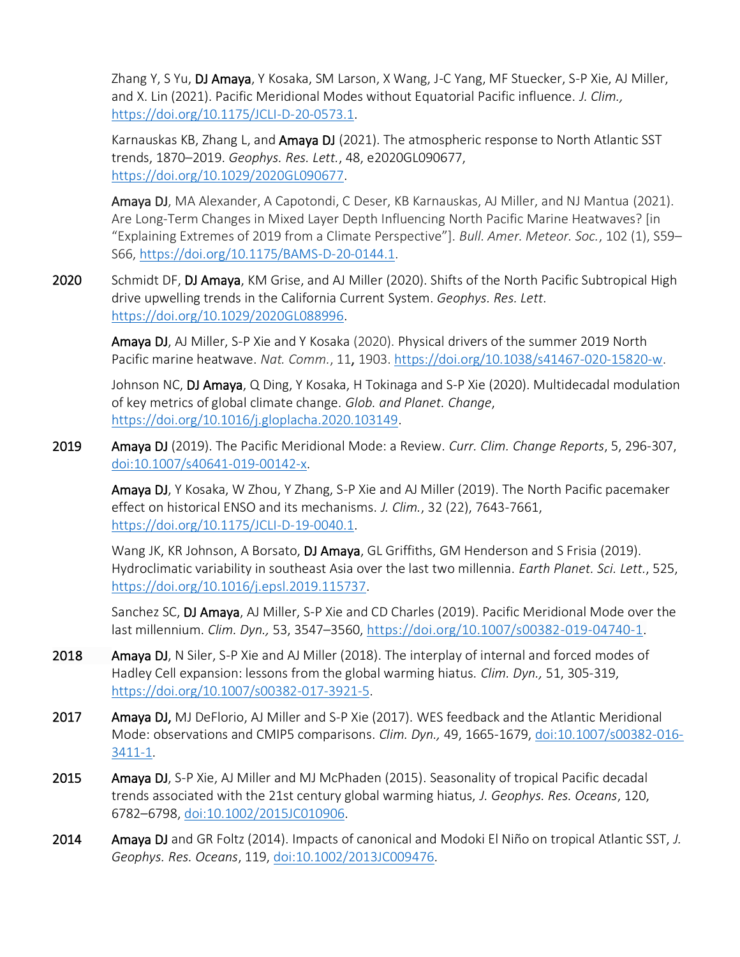Zhang Y, S Yu, DJ Amaya, Y Kosaka, SM Larson, X Wang, J-C Yang, MF Stuecker, S-P Xie, AJ Miller, and X. Lin (2021). Pacific Meridional Modes without Equatorial Pacific influence. *J. Clim.,*  [https://doi.org/10.1175/JCLI-D-20-0573.1.](https://doi.org/10.1175/JCLI-D-20-0573.1)

 Karnauskas KB, Zhang L, and Amaya DJ (2021). The atmospheric response to North Atlantic SST trends, 1870–2019. *Geophys. Res. Lett.*, 48, e2020GL090677, [https://doi.org/10.1029/2020GL090677.](https://doi.org/10.1029/2020GL090677)

 Amaya DJ, MA Alexander, A Capotondi, C Deser, KB Karnauskas, AJ Miller, and NJ Mantua (2021). Are Long-Term Changes in Mixed Layer Depth Influencing North Pacific Marine Heatwaves? [in "Explaining Extremes of 2019 from a Climate Perspective"]. *Bull. Amer. Meteor. Soc.*, 102 (1), S59– S66, [https://doi.org/10.1175/BAMS-D-20-0144.1.](https://doi.org/10.1175/BAMS-D-20-0144.1)

2020 Schmidt DF, DJ Amaya, KM Grise, and AJ Miller (2020). Shifts of the North Pacific Subtropical High drive upwelling trends in the California Current System. *Geophys. Res. Lett*. [https://doi.org/10.1029/2020GL088996.](https://agupubs.onlinelibrary.wiley.com/doi/abs/10.1029/2020GL088996)

 Amaya DJ, AJ Miller, S-P Xie and Y Kosaka (2020). Physical drivers of the summer 2019 North Pacific marine heatwave. *Nat. Comm.*, 11, 1903. [https://doi.org/10.1038/s41467-020-15820-w.](https://doi.org/10.1038/s41467-020-15820-w)

Johnson NC, DJ Amaya, Q Ding, Y Kosaka, H Tokinaga and S-P Xie (2020). Multidecadal modulation of key metrics of global climate change. *Glob. and Planet. Change*, [https://doi.org/10.1016/j.gloplacha.2020.103149.](https://www.sciencedirect.com/science/article/pii/S0921818120300394)

2019 Amaya DJ (2019). The Pacific Meridional Mode: a Review. *Curr. Clim. Change Reports*, 5, 296-307, [doi:10.1007/s40641-019-00142-x.](https://link.springer.com/article/10.1007/s40641-019-00142-x)

 Amaya DJ, Y Kosaka, W Zhou, Y Zhang, S-P Xie and AJ Miller (2019). The North Pacific pacemaker effect on historical ENSO and its mechanisms. *J. Clim.*, 32 (22), 7643-7661, [https://doi.org/10.1175/JCLI-D-19-0040.1.](https://doi.org/10.1175/JCLI-D-19-0040.1)

Wang JK, KR Johnson, A Borsato, DJ Amaya, GL Griffiths, GM Henderson and S Frisia (2019). Hydroclimatic variability in southeast Asia over the last two millennia. *Earth Planet. Sci. Lett.*, 525, [https://doi.org/10.1016/j.epsl.2019.115737.](https://doi.org/10.1016/j.epsl.2019.115737)

Sanchez SC, DJ Amaya, AJ Miller, S-P Xie and CD Charles (2019). Pacific Meridional Mode over the last millennium. *Clim. Dyn.,* 53, 3547–3560, [https://doi.org/10.1007/s00382-019-04740-1.](https://doi.org/10.1007/s00382-019-04740-1)

- 2018 Amaya DJ, N Siler, S-P Xie and AJ Miller (2018). The interplay of internal and forced modes of Hadley Cell expansion: lessons from the global warming hiatus. *Clim. Dyn.,* 51, 305-319, [https://doi.org/10.1007/s00382-017-3921-5.](https://doi.org/10.1007/s00382-017-3921-5)
- 2017 Amaya DJ, MJ DeFlorio, AJ Miller and S-P Xie (2017). WES feedback and the Atlantic Meridional Mode: observations and CMIP5 comparisons. *Clim. Dyn.,* 49, 1665-1679, [doi:10.1007/s00382-016-](https://link.springer.com/article/10.1007/s00382-016-3411-1) [3411-1.](https://link.springer.com/article/10.1007/s00382-016-3411-1)
- 2015 Amaya DJ, S-P Xie, AJ Miller and MJ McPhaden (2015). Seasonality of tropical Pacific decadal trends associated with the 21st century global warming hiatus, *J. Geophys. Res. Oceans*, 120, 6782–6798, [doi:10.1002/2015JC010906.](https://agupubs.onlinelibrary.wiley.com/doi/full/10.1002/2015JC010906)
- 2014 Amaya DJ and GR Foltz (2014). Impacts of canonical and Modoki El Niño on tropical Atlantic SST, *J. Geophys. Res. Oceans*, 119, [doi:10.1002/2013JC009476.](https://agupubs.onlinelibrary.wiley.com/doi/10.1002/2013JC009476)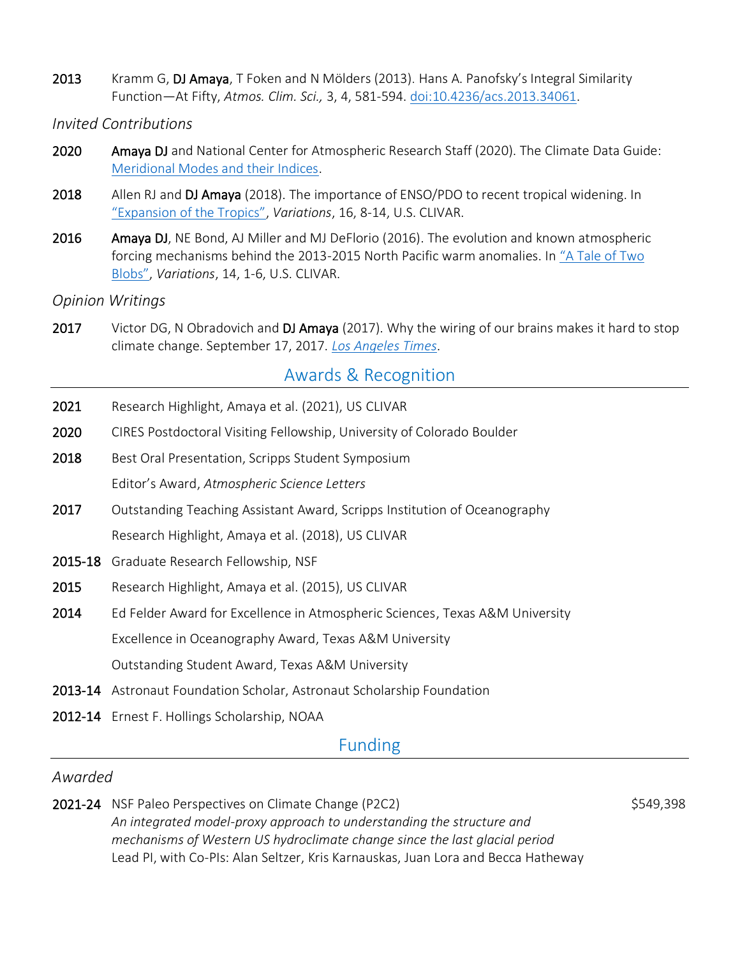2013 Kramm G, DJ Amaya, T Foken and N Mölders (2013). Hans A. Panofsky's Integral Similarity Function—At Fifty, *Atmos. Clim. Sci.,* 3, 4, 581-594. [doi:10.4236/acs.2013.34061.](https://file.scirp.org/Html/19-4700215---71_38223.htm)

#### *Invited Contributions*

- 2020 Amaya DJ and National Center for Atmospheric Research Staff (2020). The Climate Data Guide: [Meridional Modes and their Indices.](https://climatedataguide.ucar.edu/climate-data/meridional-modes-and-their-indices)
- 2018 Allen RJ and DJ Amaya (2018). The importance of ENSO/PDO to recent tropical widening. In ["Expansion of the Tropics"](https://indd.adobe.com/view/0717e0a0-33fd-4c5c-a9d1-d27a50ddb9e3), *Variations*, 16, 8-14, U.S. CLIVAR.
- 2016 Amaya DJ, NE Bond, AJ Miller and MJ DeFlorio (2016). The evolution and known atmospheric forcing mechanisms behind the 2013-2015 North Pacific warm anomalies. In ["A Tale of Two](https://indd.adobe.com/view/ffe33cde-3628-42e8-adc2-eaf85d8312e4)  [Blobs"](https://indd.adobe.com/view/ffe33cde-3628-42e8-adc2-eaf85d8312e4), *Variations*, 14, 1-6, U.S. CLIVAR.

#### *Opinion Writings*

2017 Victor DG, N Obradovich and DJ Amaya (2017). Why the wiring of our brains makes it hard to stop climate change. September 17, 2017. *[Los Angeles Times](https://www.latimes.com/opinion/op-ed/la-oe-victor-amaya-obradovich-why-our-brains-make-it-hard-to-stop-global-warming-20170917-story.html)*.

# Awards & Recognition

- 2021 Research Highlight, Amaya et al. (2021), US CLIVAR
- 2020 CIRES Postdoctoral Visiting Fellowship, University of Colorado Boulder
- 2018 Best Oral Presentation, Scripps Student Symposium Editor's Award, *Atmospheric Science Letters*
- 2017 Outstanding Teaching Assistant Award, Scripps Institution of Oceanography Research Highlight, Amaya et al. (2018), US CLIVAR
- 2015-18 Graduate Research Fellowship, NSF
- 2015 Research Highlight, Amaya et al. (2015), US CLIVAR
- 2014 Ed Felder Award for Excellence in Atmospheric Sciences, Texas A&M University Excellence in Oceanography Award, Texas A&M University Outstanding Student Award, Texas A&M University
- 2013-14 Astronaut Foundation Scholar, Astronaut Scholarship Foundation
- 2012-14 Ernest F. Hollings Scholarship, NOAA

### Funding

#### *Awarded*

2021-24 NSF Paleo Perspectives on Climate Change (P2C2)  $$549,398$ *An integrated model-proxy approach to understanding the structure and mechanisms of Western US hydroclimate change since the last glacial period* Lead PI, with Co-PIs: Alan Seltzer, Kris Karnauskas, Juan Lora and Becca Hatheway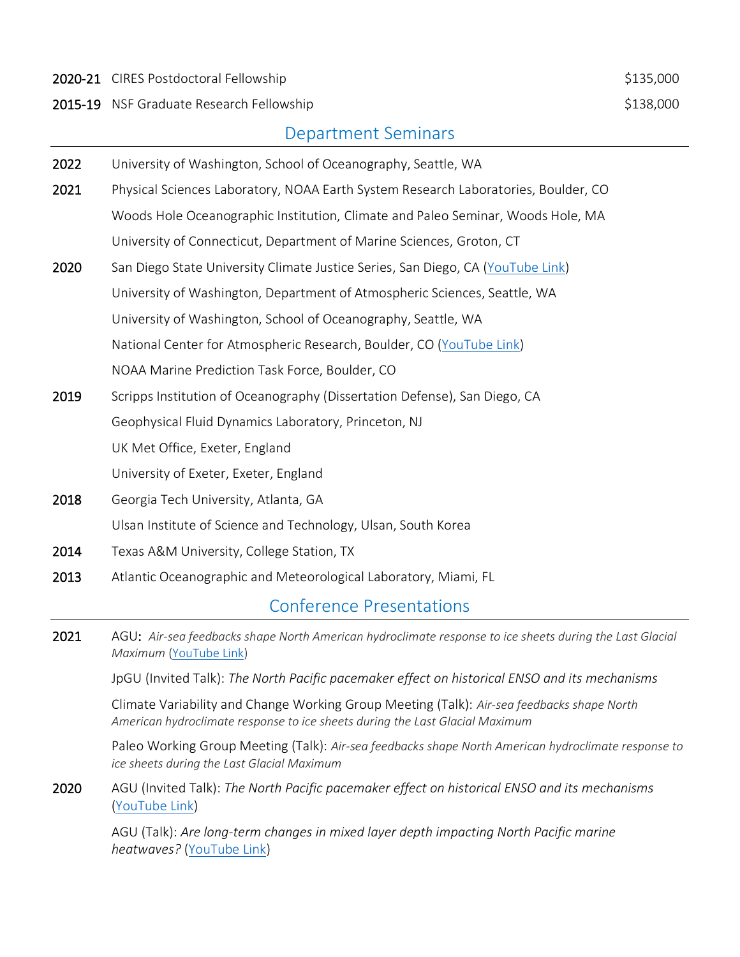2020-21 CIRES Postdoctoral Fellowship **\$135,000** \$135,000

2015-19 NSF Graduate Research Fellowship **\$138,000** \$138,000

# Department Seminars

| 2022 | University of Washington, School of Oceanography, Seattle, WA                      |
|------|------------------------------------------------------------------------------------|
| 2021 | Physical Sciences Laboratory, NOAA Earth System Research Laboratories, Boulder, CO |
|      | Woods Hole Oceanographic Institution, Climate and Paleo Seminar, Woods Hole, MA    |
|      | University of Connecticut, Department of Marine Sciences, Groton, CT               |
| 2020 | San Diego State University Climate Justice Series, San Diego, CA (YouTube Link)    |
|      | University of Washington, Department of Atmospheric Sciences, Seattle, WA          |
|      | University of Washington, School of Oceanography, Seattle, WA                      |
|      | National Center for Atmospheric Research, Boulder, CO (YouTube Link)               |
|      | NOAA Marine Prediction Task Force, Boulder, CO                                     |
| 2019 | Scripps Institution of Oceanography (Dissertation Defense), San Diego, CA          |
|      | Geophysical Fluid Dynamics Laboratory, Princeton, NJ                               |
|      | UK Met Office, Exeter, England                                                     |
|      | University of Exeter, Exeter, England                                              |
| 2018 | Georgia Tech University, Atlanta, GA                                               |
|      | Ulsan Institute of Science and Technology, Ulsan, South Korea                      |
| 2014 | Texas A&M University, College Station, TX                                          |
| 2013 | Atlantic Oceanographic and Meteorological Laboratory, Miami, FL                    |
|      |                                                                                    |

# Conference Presentations

2021 AGU: *Air-sea feedbacks shape North American hydroclimate response to ice sheets during the Last Glacial Maximum* [\(YouTube Link\)](https://www.youtube.com/watch?v=2AI615_J8YI)

JpGU (Invited Talk): *The North Pacific pacemaker effect on historical ENSO and its mechanisms*

 Climate Variability and Change Working Group Meeting (Talk): *Air-sea feedbacks shape North American hydroclimate response to ice sheets during the Last Glacial Maximum*

 Paleo Working Group Meeting (Talk): *Air-sea feedbacks shape North American hydroclimate response to ice sheets during the Last Glacial Maximum*

2020 AGU (Invited Talk): *The North Pacific pacemaker effect on historical ENSO and its mechanisms* [\(YouTube Link\)](https://www.youtube.com/watch?v=qfNl5br6E9o&feature=youtu.be)

 AGU (Talk): *Are long-term changes in mixed layer depth impacting North Pacific marine heatwaves?* [\(YouTube Link\)](https://www.youtube.com/watch?v=v3cNEYUzuos&feature=youtu.be)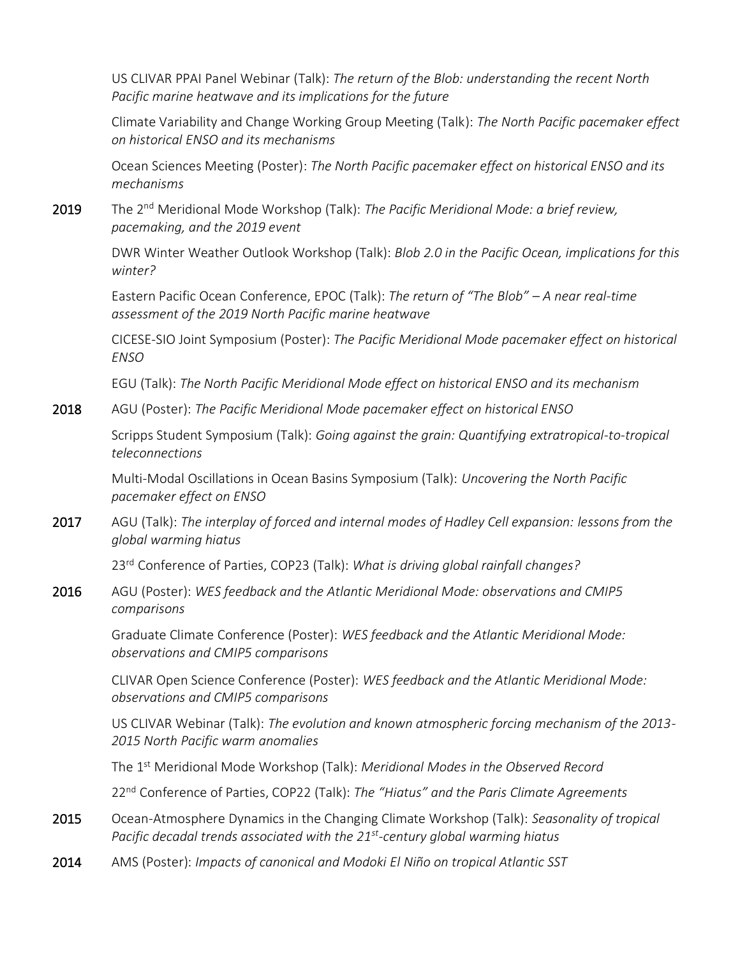US CLIVAR PPAI Panel Webinar (Talk): *The return of the Blob: understanding the recent North Pacific marine heatwave and its implications for the future*

Climate Variability and Change Working Group Meeting (Talk): *The North Pacific pacemaker effect on historical ENSO and its mechanisms*

 Ocean Sciences Meeting (Poster): *The North Pacific pacemaker effect on historical ENSO and its mechanisms*

2019 The 2nd Meridional Mode Workshop (Talk): *The Pacific Meridional Mode: a brief review, pacemaking, and the 2019 event*

> DWR Winter Weather Outlook Workshop (Talk): *Blob 2.0 in the Pacific Ocean, implications for this winter?*

Eastern Pacific Ocean Conference, EPOC (Talk): *The return of "The Blob" – A near real-time assessment of the 2019 North Pacific marine heatwave*

CICESE-SIO Joint Symposium (Poster): *The Pacific Meridional Mode pacemaker effect on historical ENSO*

EGU (Talk): *The North Pacific Meridional Mode effect on historical ENSO and its mechanism*

2018 AGU (Poster): *The Pacific Meridional Mode pacemaker effect on historical ENSO*

Scripps Student Symposium (Talk): *Going against the grain: Quantifying extratropical-to-tropical teleconnections*

Multi-Modal Oscillations in Ocean Basins Symposium (Talk): *Uncovering the North Pacific pacemaker effect on ENSO*

2017 AGU (Talk): *The interplay of forced and internal modes of Hadley Cell expansion: lessons from the global warming hiatus*

23rd Conference of Parties, COP23 (Talk): *What is driving global rainfall changes?*

2016 AGU (Poster): *WES feedback and the Atlantic Meridional Mode: observations and CMIP5 comparisons*

> Graduate Climate Conference (Poster): *WES feedback and the Atlantic Meridional Mode: observations and CMIP5 comparisons*

CLIVAR Open Science Conference (Poster): *WES feedback and the Atlantic Meridional Mode: observations and CMIP5 comparisons*

US CLIVAR Webinar (Talk): *The evolution and known atmospheric forcing mechanism of the 2013- 2015 North Pacific warm anomalies*

The 1st Meridional Mode Workshop (Talk): *Meridional Modes in the Observed Record*

22nd Conference of Parties, COP22 (Talk): *The "Hiatus" and the Paris Climate Agreements*

- 2015 Ocean-Atmosphere Dynamics in the Changing Climate Workshop (Talk): *Seasonality of tropical Pacific decadal trends associated with the 21st -century global warming hiatus*
- 2014 AMS (Poster): *Impacts of canonical and Modoki El Niño on tropical Atlantic SST*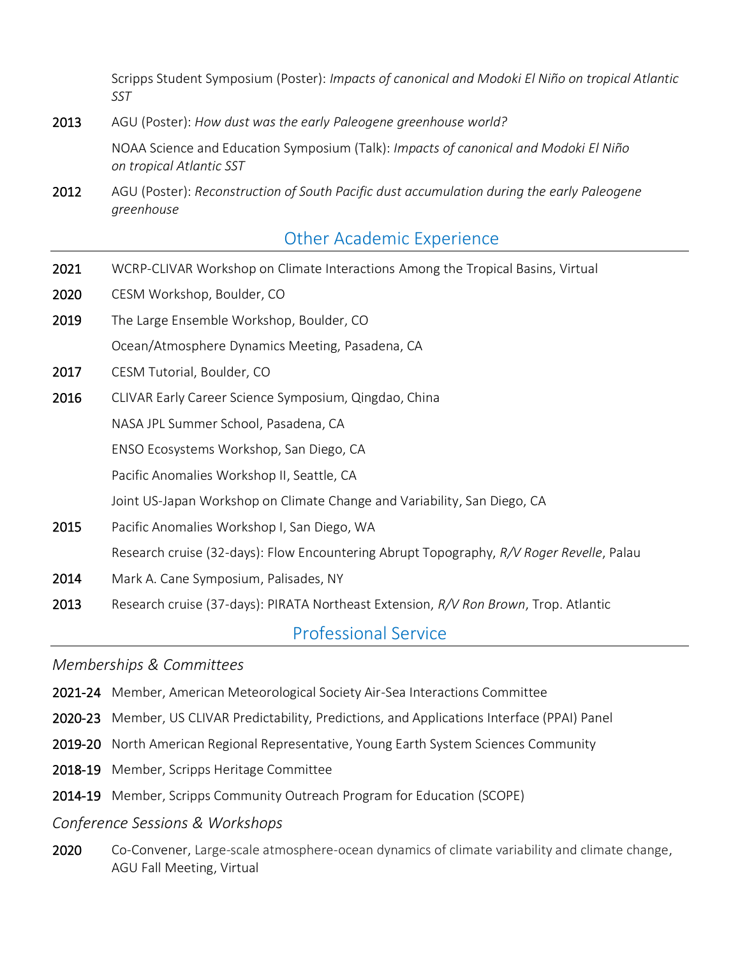Scripps Student Symposium (Poster): *Impacts of canonical and Modoki El Niño on tropical Atlantic SST*

2013 AGU (Poster): *How dust was the early Paleogene greenhouse world?*

NOAA Science and Education Symposium (Talk): *Impacts of canonical and Modoki El Niño on tropical Atlantic SST*

2012 AGU (Poster): *Reconstruction of South Pacific dust accumulation during the early Paleogene greenhouse*

2021 WCRP-CLIVAR Workshop on Climate Interactions Among the Tropical Basins, Virtual

# Other Academic Experience

- 2020 CESM Workshop, Boulder, CO 2019 The Large Ensemble Workshop, Boulder, CO Ī Ocean/Atmosphere Dynamics Meeting, Pasadena, CA 2017 CESM Tutorial, Boulder, CO Ī 2016 CLIVAR Early Career Science Symposium, Qingdao, China NASA JPL Summer School, Pasadena, CA ENSO Ecosystems Workshop, San Diego, CA Pacific Anomalies Workshop II, Seattle, CA Joint US-Japan Workshop on Climate Change and Variability, San Diego, CA 2015 Pacific Anomalies Workshop I, San Diego, WA Research cruise (32-days): Flow Encountering Abrupt Topography, *R/V Roger Revelle*, Palau 2014 Mark A. Cane Symposium, Palisades, NY
- 2013 Research cruise (37-days): PIRATA Northeast Extension, *R/V Ron Brown*, Trop. Atlantic

Professional Service

*Memberships & Committees*

- 2021-24 Member, American Meteorological Society Air-Sea Interactions Committee
- 2020-23 Member, US CLIVAR Predictability, Predictions, and Applications Interface (PPAI) Panel
- 2019-20 North American Regional Representative, Young Earth System Sciences Community
- 2018-19 Member, Scripps Heritage Committee
- 2014-19 Member, Scripps Community Outreach Program for Education (SCOPE)

#### *Conference Sessions & Workshops*

2020 Co-Convener, Large-scale atmosphere-ocean dynamics of climate variability and climate change, AGU Fall Meeting, Virtual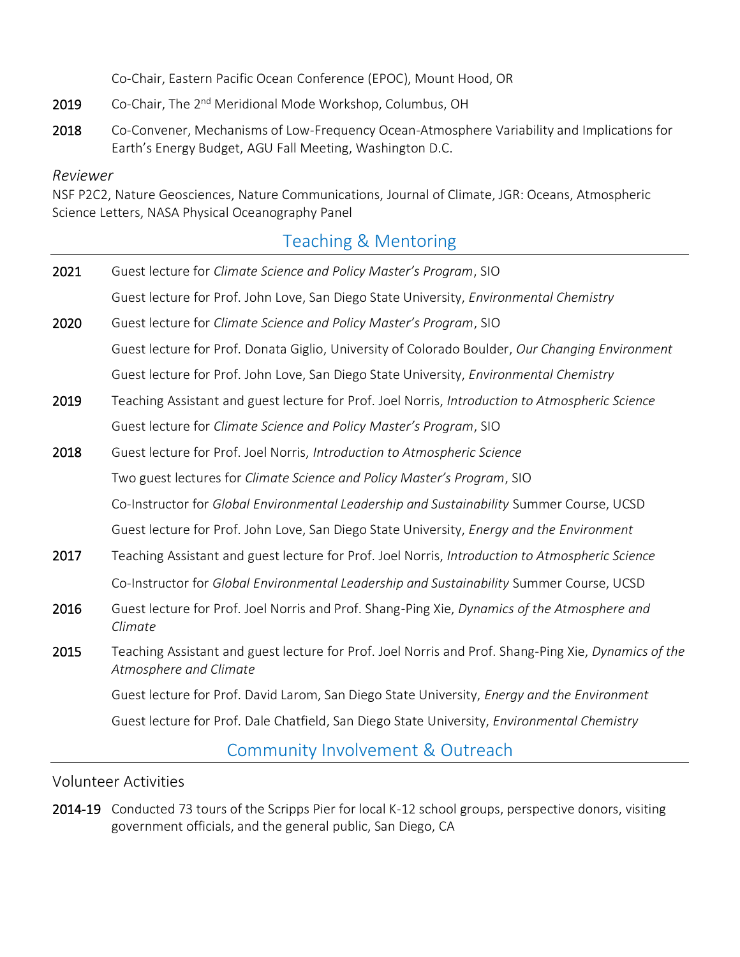Co-Chair, Eastern Pacific Ocean Conference (EPOC), Mount Hood, OR

- 2019 Co-Chair, The 2<sup>nd</sup> Meridional Mode Workshop, Columbus, OH
- 2018 Co-Convener, Mechanisms of Low-Frequency Ocean-Atmosphere Variability and Implications for Earth's Energy Budget, AGU Fall Meeting, Washington D.C.

#### *Reviewer*

NSF P2C2, Nature Geosciences, Nature Communications, Journal of Climate, JGR: Oceans, Atmospheric Science Letters, NASA Physical Oceanography Panel

# Teaching & Mentoring

| 2021 | Guest lecture for Climate Science and Policy Master's Program, SIO                                                             |
|------|--------------------------------------------------------------------------------------------------------------------------------|
|      | Guest lecture for Prof. John Love, San Diego State University, Environmental Chemistry                                         |
| 2020 | Guest lecture for Climate Science and Policy Master's Program, SIO                                                             |
|      | Guest lecture for Prof. Donata Giglio, University of Colorado Boulder, Our Changing Environment                                |
|      | Guest lecture for Prof. John Love, San Diego State University, Environmental Chemistry                                         |
| 2019 | Teaching Assistant and guest lecture for Prof. Joel Norris, Introduction to Atmospheric Science                                |
|      | Guest lecture for Climate Science and Policy Master's Program, SIO                                                             |
| 2018 | Guest lecture for Prof. Joel Norris, Introduction to Atmospheric Science                                                       |
|      | Two guest lectures for Climate Science and Policy Master's Program, SIO                                                        |
|      | Co-Instructor for Global Environmental Leadership and Sustainability Summer Course, UCSD                                       |
|      | Guest lecture for Prof. John Love, San Diego State University, Energy and the Environment                                      |
| 2017 | Teaching Assistant and guest lecture for Prof. Joel Norris, Introduction to Atmospheric Science                                |
|      | Co-Instructor for Global Environmental Leadership and Sustainability Summer Course, UCSD                                       |
| 2016 | Guest lecture for Prof. Joel Norris and Prof. Shang-Ping Xie, Dynamics of the Atmosphere and<br>Climate                        |
| 2015 | Teaching Assistant and guest lecture for Prof. Joel Norris and Prof. Shang-Ping Xie, Dynamics of the<br>Atmosphere and Climate |
|      | Guest lecture for Prof. David Larom, San Diego State University, <i>Energy and the Environment</i>                             |
|      | Guest lecture for Prof. Dale Chatfield, San Diego State University, Environmental Chemistry                                    |
|      |                                                                                                                                |

### Community Involvement & Outreach

Volunteer Activities

2014-19 Conducted 73 tours of the Scripps Pier for local K-12 school groups, perspective donors, visiting government officials, and the general public, San Diego, CA